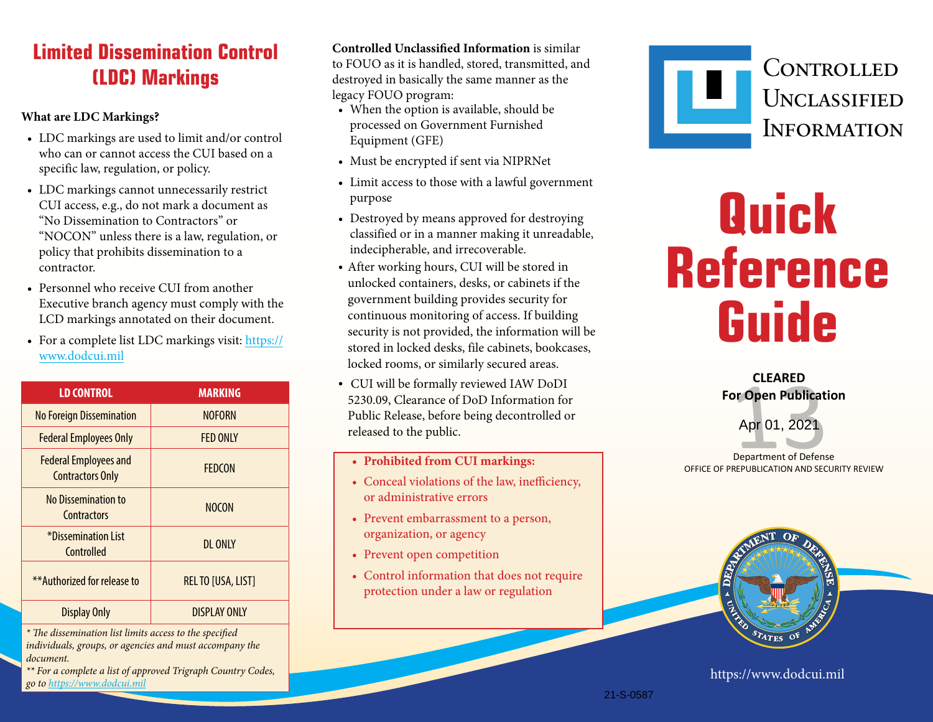## **Limited Dissemination Control (LDC) Markings**

#### **What are LDC Markings?**

- LDC markings are used to limit and/or control who can or cannot access the CUI based on a specific law, regulation, or policy.
- LDC markings cannot unnecessarily restrict CUI access, e.g., do not mark a document as "No Dissemination to Contractors" or "NOCON" unless there is a law, regulation, or policy that prohibits dissemination to a contractor.
- Personnel who receive CUI from another Executive branch agency must comply with the LCD markings annotated on their document.
- For a complete list LDC markings visit: https:// www.dodcui.mil

| <b>LD CONTROL</b>                                       | <b>MARKING</b>            |
|---------------------------------------------------------|---------------------------|
| <b>No Foreign Dissemination</b>                         | <b>NOFORN</b>             |
| <b>Federal Employees Only</b>                           | <b>FFD ONLY</b>           |
| <b>Federal Employees and</b><br><b>Contractors Only</b> | <b>FFDCON</b>             |
| No Dissemination to<br>Contractors                      | <b>NOCON</b>              |
| *Dissemination List<br>Controlled                       | DI ONIY                   |
| **Authorized for release to                             | <b>REL TO [USA, LIST]</b> |
| <b>Display Only</b>                                     | <b>DISPI AY ONLY</b>      |

*\* The dissemination list limits access to the specified individuals, groups, or agencies and must accompany the document.*

*\*\* For a complete a list of approved Trigraph Country Codes, go to https://www.dodcui.mil* https://www.dodcui.mil

**Controlled Unclassified Information** is similar

to FOUO as it is handled, stored, transmitted, and destroyed in basically the same manner as the legacy FOUO program:

- When the option is available, should be processed on Government Furnished Equipment (GFE)
- Must be encrypted if sent via NIPRNet
- Limit access to those with a lawful government purpose
- Destroyed by means approved for destroying classified or in a manner making it unreadable, indecipherable, and irrecoverable.
- After working hours, CUI will be stored in unlocked containers, desks, or cabinets if the government building provides security for continuous monitoring of access. If building security is not provided, the information will be stored in locked desks, file cabinets, bookcases, locked rooms, or similarly secured areas.
- CUI will be formally reviewed IAW DoDI 5230.09, Clearance of DoD Information for Public Release, before being decontrolled or released to the public.
	- **• Prohibited from CUI markings:**
	- Conceal violations of the law, inefficiency, or administrative errors
	- Prevent embarrassment to a person, organization, or agency
	- Prevent open competition
	- Control information that does not require protection under a law or regulation



# **Quick Reference Guide**

 **CLEARED For Open Publication**

Apr 01, 2021

Department of Defense OFFICE OF PREPUBLICATION AND SECURITY REVIEW



21-S-0587